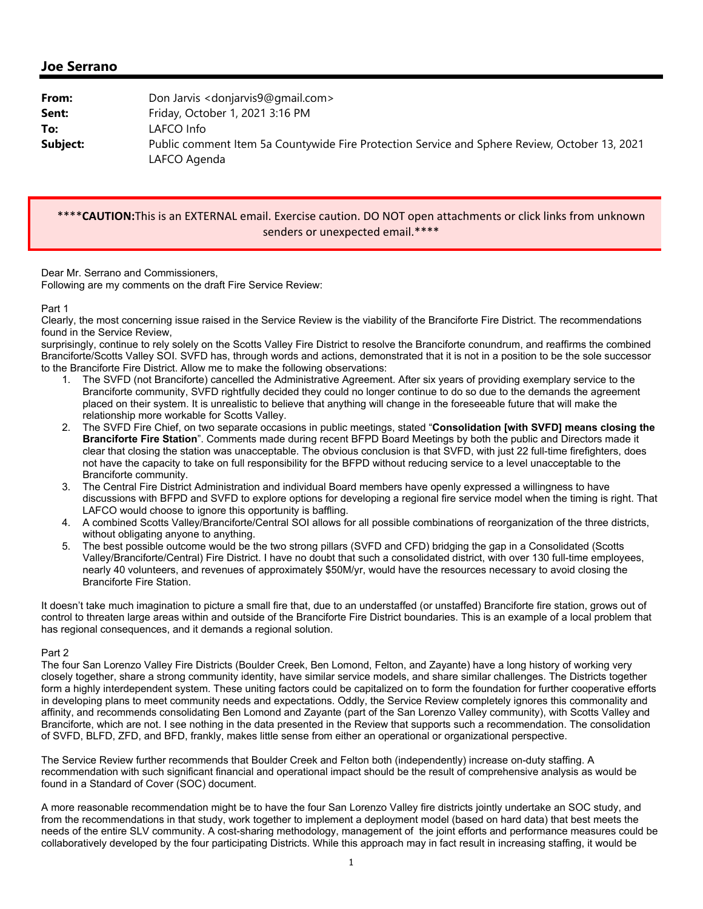## **Joe Serrano**

| From:    | Don Jarvis < donjarvis9@gmail.com>                                                                            |
|----------|---------------------------------------------------------------------------------------------------------------|
| Sent:    | Friday, October 1, 2021 3:16 PM                                                                               |
| To:      | LAFCO Info                                                                                                    |
| Subject: | Public comment Item 5a Countywide Fire Protection Service and Sphere Review, October 13, 2021<br>LAFCO Agenda |

## \*\*\*\***CAUTION:**This is an EXTERNAL email. Exercise caution. DO NOT open attachments or click links from unknown senders or unexpected email.\*\*\*\*

## Dear Mr. Serrano and Commissioners,

Following are my comments on the draft Fire Service Review:

Part 1

Clearly, the most concerning issue raised in the Service Review is the viability of the Branciforte Fire District. The recommendations found in the Service Review,

surprisingly, continue to rely solely on the Scotts Valley Fire District to resolve the Branciforte conundrum, and reaffirms the combined Branciforte/Scotts Valley SOI. SVFD has, through words and actions, demonstrated that it is not in a position to be the sole successor to the Branciforte Fire District. Allow me to make the following observations:

- 1. The SVFD (not Branciforte) cancelled the Administrative Agreement. After six years of providing exemplary service to the Branciforte community, SVFD rightfully decided they could no longer continue to do so due to the demands the agreement placed on their system. It is unrealistic to believe that anything will change in the foreseeable future that will make the relationship more workable for Scotts Valley.
- 2. The SVFD Fire Chief, on two separate occasions in public meetings, stated "**Consolidation [with SVFD] means closing the Branciforte Fire Station**". Comments made during recent BFPD Board Meetings by both the public and Directors made it clear that closing the station was unacceptable. The obvious conclusion is that SVFD, with just 22 full-time firefighters, does not have the capacity to take on full responsibility for the BFPD without reducing service to a level unacceptable to the Branciforte community.
- 3. The Central Fire District Administration and individual Board members have openly expressed a willingness to have discussions with BFPD and SVFD to explore options for developing a regional fire service model when the timing is right. That LAFCO would choose to ignore this opportunity is baffling.
- 4. A combined Scotts Valley/Branciforte/Central SOI allows for all possible combinations of reorganization of the three districts, without obligating anyone to anything.
- 5. The best possible outcome would be the two strong pillars (SVFD and CFD) bridging the gap in a Consolidated (Scotts Valley/Branciforte/Central) Fire District. I have no doubt that such a consolidated district, with over 130 full-time employees, nearly 40 volunteers, and revenues of approximately \$50M/yr, would have the resources necessary to avoid closing the Branciforte Fire Station.

It doesn't take much imagination to picture a small fire that, due to an understaffed (or unstaffed) Branciforte fire station, grows out of control to threaten large areas within and outside of the Branciforte Fire District boundaries. This is an example of a local problem that has regional consequences, and it demands a regional solution.

## Part 2

The four San Lorenzo Valley Fire Districts (Boulder Creek, Ben Lomond, Felton, and Zayante) have a long history of working very closely together, share a strong community identity, have similar service models, and share similar challenges. The Districts together form a highly interdependent system. These uniting factors could be capitalized on to form the foundation for further cooperative efforts in developing plans to meet community needs and expectations. Oddly, the Service Review completely ignores this commonality and affinity, and recommends consolidating Ben Lomond and Zayante (part of the San Lorenzo Valley community), with Scotts Valley and Branciforte, which are not. I see nothing in the data presented in the Review that supports such a recommendation. The consolidation of SVFD, BLFD, ZFD, and BFD, frankly, makes little sense from either an operational or organizational perspective.

The Service Review further recommends that Boulder Creek and Felton both (independently) increase on-duty staffing. A recommendation with such significant financial and operational impact should be the result of comprehensive analysis as would be found in a Standard of Cover (SOC) document.

A more reasonable recommendation might be to have the four San Lorenzo Valley fire districts jointly undertake an SOC study, and from the recommendations in that study, work together to implement a deployment model (based on hard data) that best meets the needs of the entire SLV community. A cost-sharing methodology, management of the joint efforts and performance measures could be collaboratively developed by the four participating Districts. While this approach may in fact result in increasing staffing, it would be